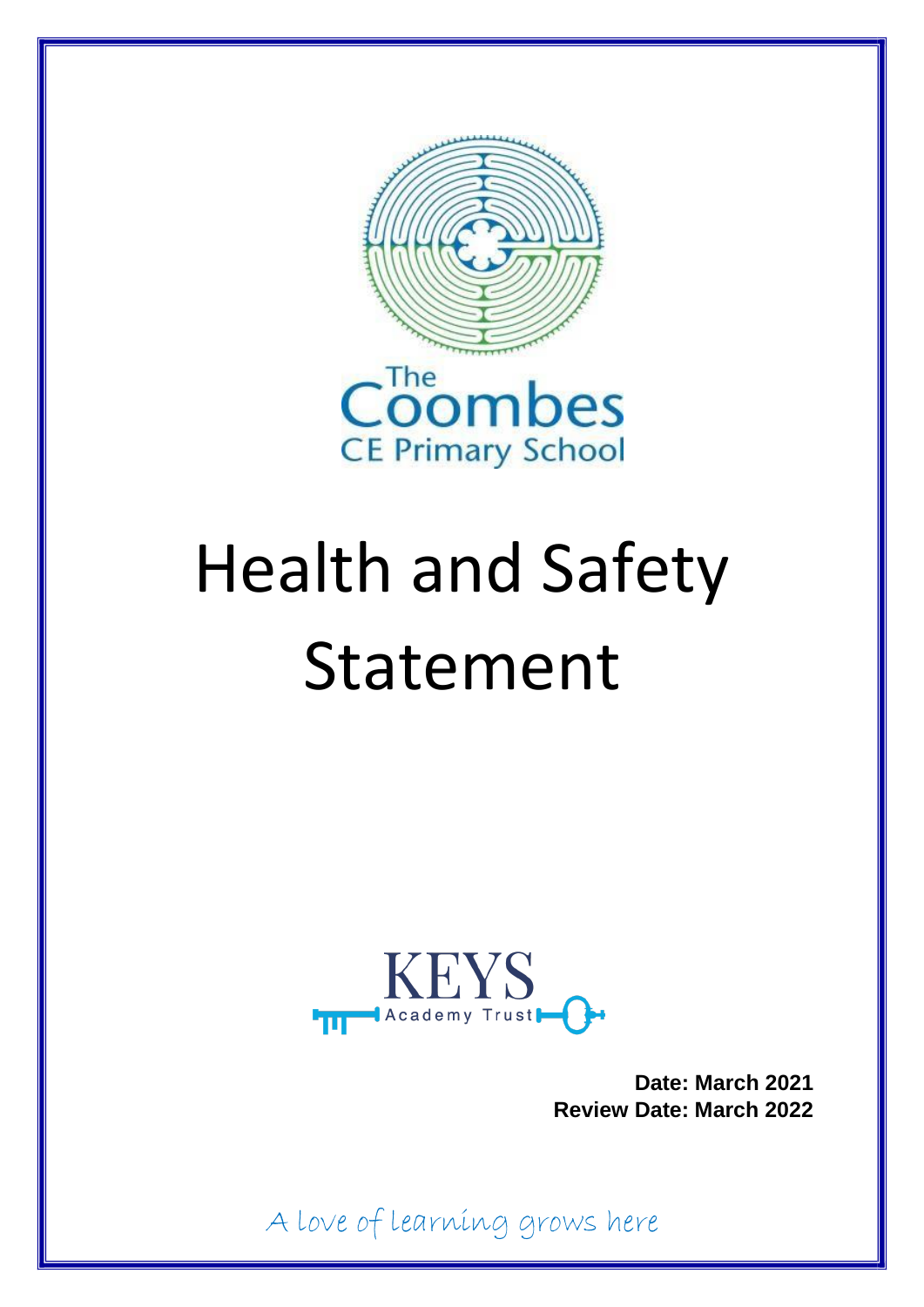



# Health and Safety Statement



**Date: March 2021 Review Date: March 2022**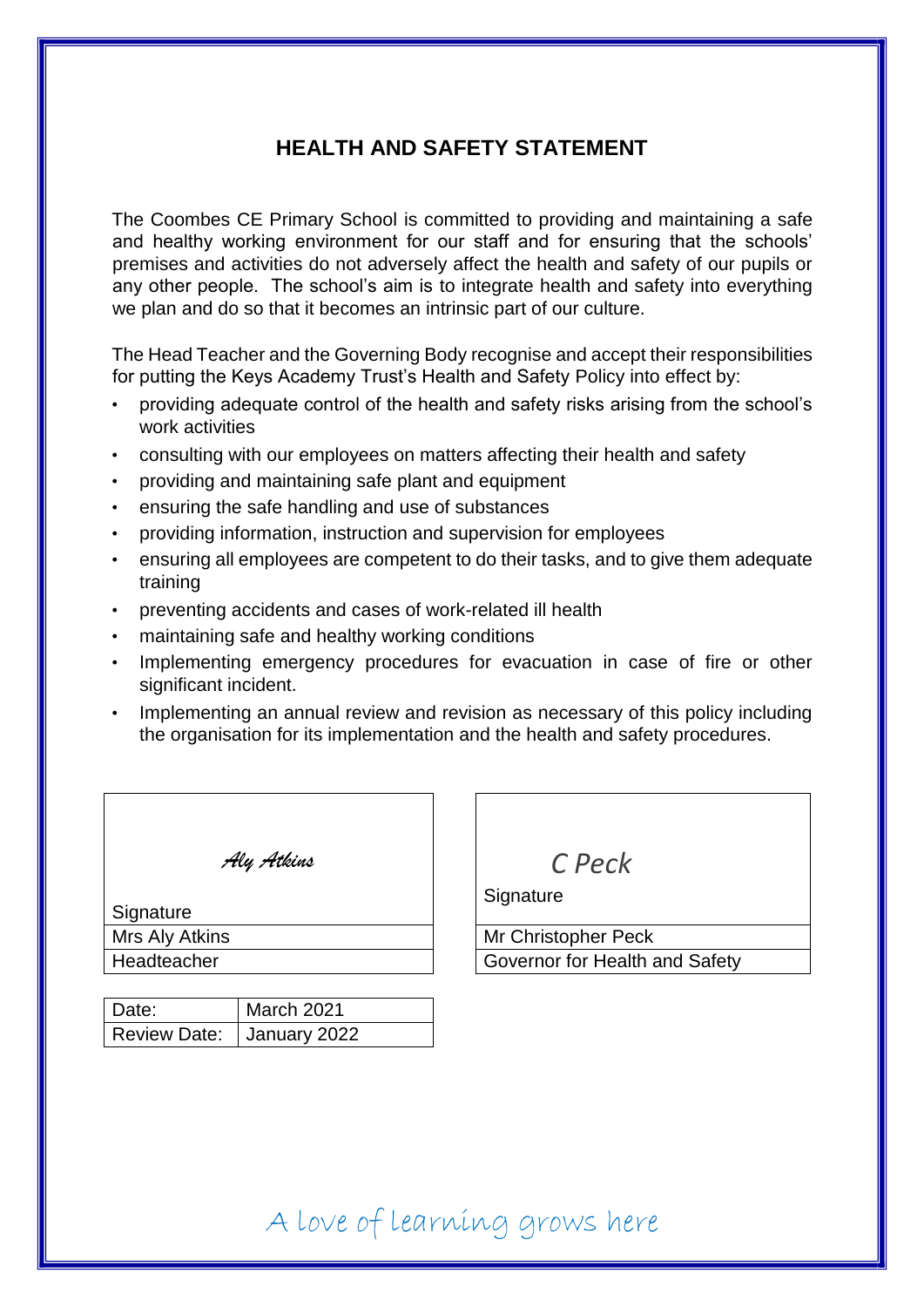### **HEALTH AND SAFETY STATEMENT**

The Coombes CE Primary School is committed to providing and maintaining a safe and healthy working environment for our staff and for ensuring that the schools' premises and activities do not adversely affect the health and safety of our pupils or any other people. The school's aim is to integrate health and safety into everything we plan and do so that it becomes an intrinsic part of our culture.

The Head Teacher and the Governing Body recognise and accept their responsibilities for putting the Keys Academy Trust's Health and Safety Policy into effect by:

- providing adequate control of the health and safety risks arising from the school's work activities
- consulting with our employees on matters affecting their health and safety
- providing and maintaining safe plant and equipment
- ensuring the safe handling and use of substances
- providing information, instruction and supervision for employees
- ensuring all employees are competent to do their tasks, and to give them adequate training
- preventing accidents and cases of work-related ill health
- maintaining safe and healthy working conditions
- Implementing emergency procedures for evacuation in case of fire or other significant incident.
- Implementing an annual review and revision as necessary of this policy including the organisation for its implementation and the health and safety procedures.

| Aly Atkins     |  |
|----------------|--|
| Signature      |  |
| Mrs Aly Atkins |  |

| Date:                       | March 2021 |
|-----------------------------|------------|
| Review Date:   January 2022 |            |

*C Peck* 

**Signature** 

Mr Christopher Peck Headteacher **Governor for Health and Safety**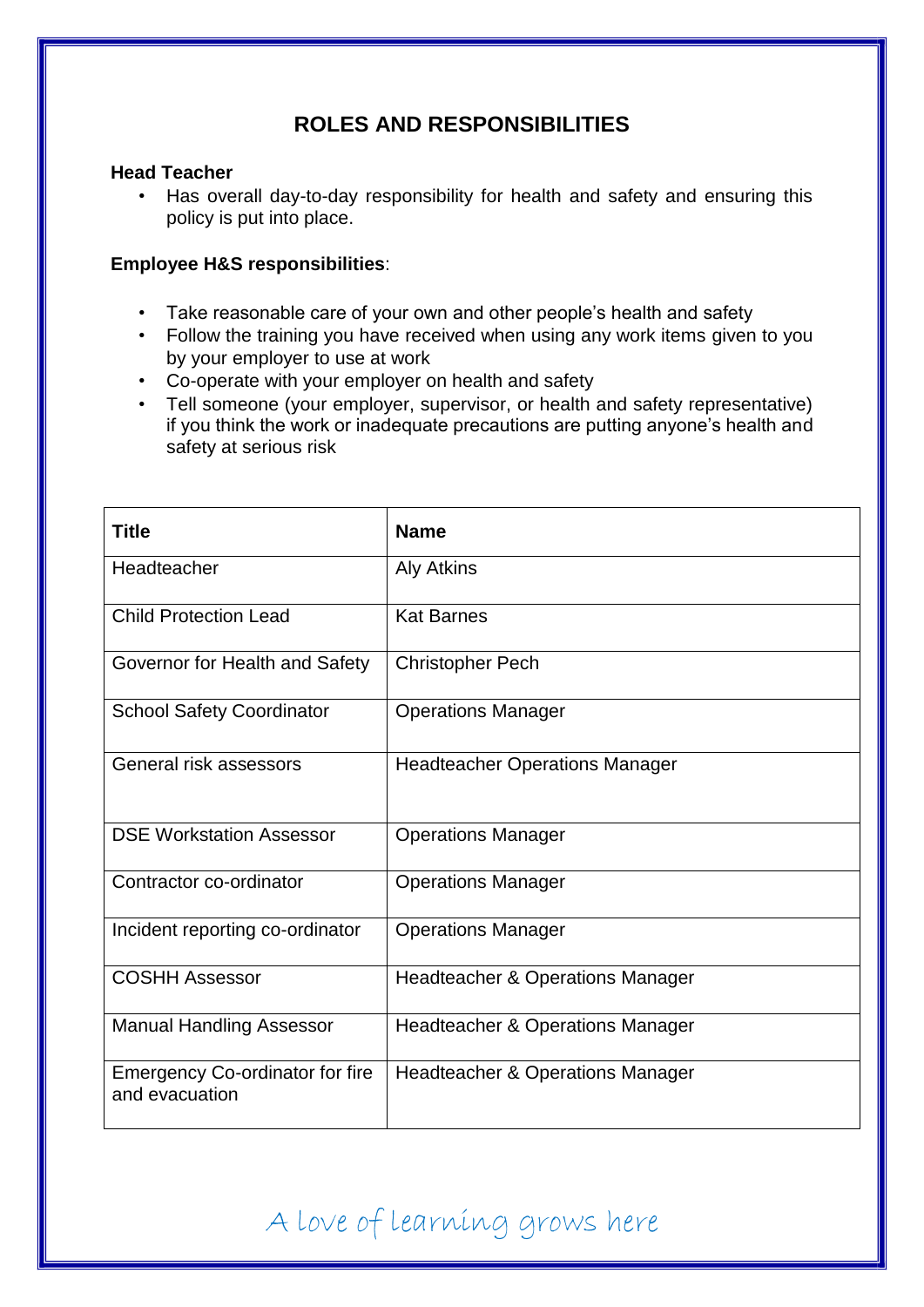## **ROLES AND RESPONSIBILITIES**

#### **Head Teacher**

• Has overall day-to-day responsibility for health and safety and ensuring this policy is put into place.

#### **Employee H&S responsibilities**:

- Take reasonable care of your own and other people's health and safety
- Follow the training you have received when using any work items given to you by your employer to use at work
- Co-operate with your employer on health and safety
- Tell someone (your employer, supervisor, or health and safety representative) if you think the work or inadequate precautions are putting anyone's health and safety at serious risk

| <b>Title</b>                                             | <b>Name</b>                                 |
|----------------------------------------------------------|---------------------------------------------|
| Headteacher                                              | <b>Aly Atkins</b>                           |
| <b>Child Protection Lead</b>                             | <b>Kat Barnes</b>                           |
| Governor for Health and Safety                           | <b>Christopher Pech</b>                     |
| <b>School Safety Coordinator</b>                         | <b>Operations Manager</b>                   |
| General risk assessors                                   | <b>Headteacher Operations Manager</b>       |
| <b>DSE Workstation Assessor</b>                          | <b>Operations Manager</b>                   |
| Contractor co-ordinator                                  | <b>Operations Manager</b>                   |
| Incident reporting co-ordinator                          | <b>Operations Manager</b>                   |
| <b>COSHH Assessor</b>                                    | <b>Headteacher &amp; Operations Manager</b> |
| <b>Manual Handling Assessor</b>                          | <b>Headteacher &amp; Operations Manager</b> |
| <b>Emergency Co-ordinator for fire</b><br>and evacuation | <b>Headteacher &amp; Operations Manager</b> |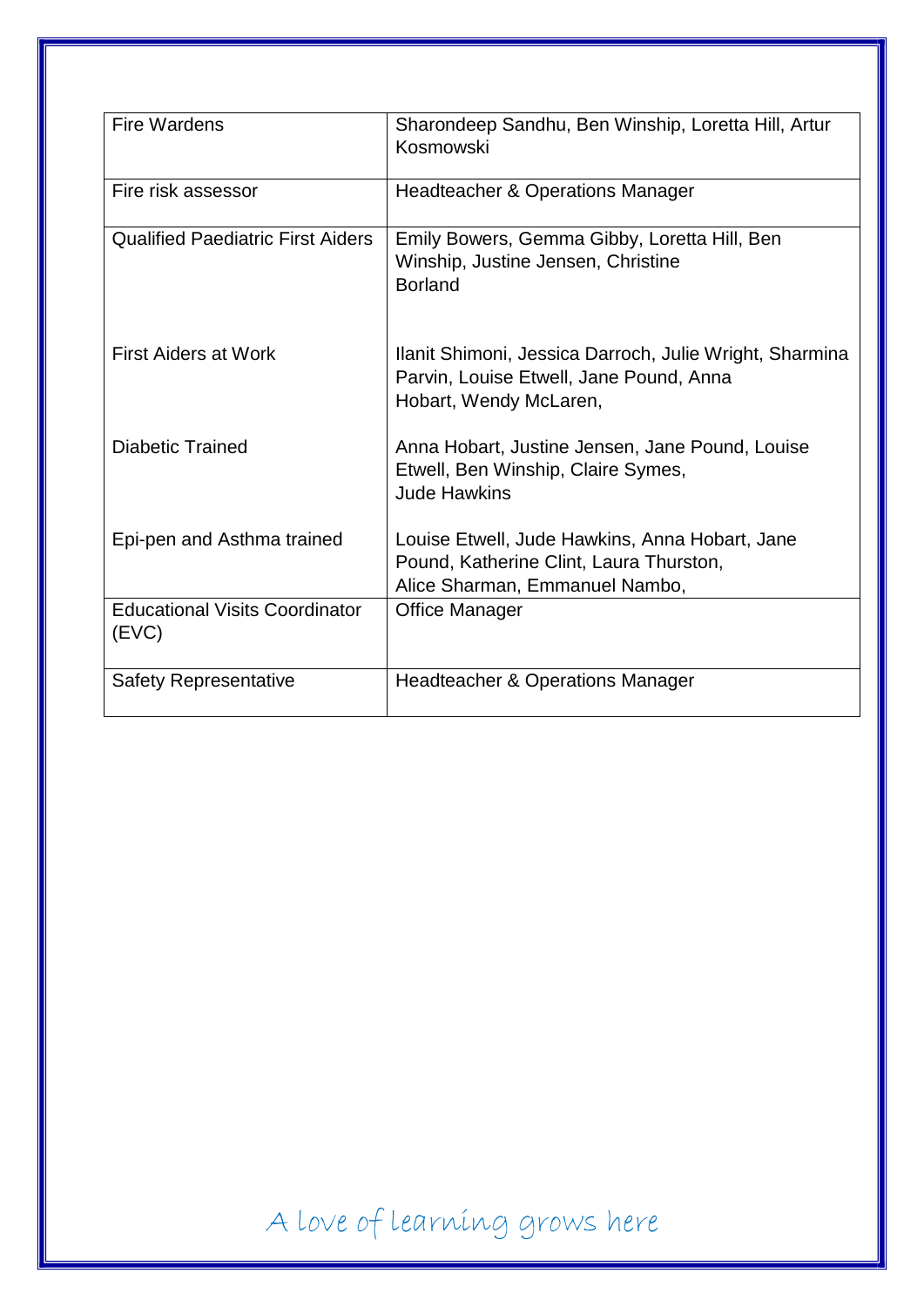| <b>Fire Wardens</b>                            | Sharondeep Sandhu, Ben Winship, Loretta Hill, Artur<br>Kosmowski                                                             |
|------------------------------------------------|------------------------------------------------------------------------------------------------------------------------------|
| Fire risk assessor                             | <b>Headteacher &amp; Operations Manager</b>                                                                                  |
| <b>Qualified Paediatric First Aiders</b>       | Emily Bowers, Gemma Gibby, Loretta Hill, Ben<br>Winship, Justine Jensen, Christine<br><b>Borland</b>                         |
| <b>First Aiders at Work</b>                    | Ilanit Shimoni, Jessica Darroch, Julie Wright, Sharmina<br>Parvin, Louise Etwell, Jane Pound, Anna<br>Hobart, Wendy McLaren, |
| <b>Diabetic Trained</b>                        | Anna Hobart, Justine Jensen, Jane Pound, Louise<br>Etwell, Ben Winship, Claire Symes,<br><b>Jude Hawkins</b>                 |
| Epi-pen and Asthma trained                     | Louise Etwell, Jude Hawkins, Anna Hobart, Jane<br>Pound, Katherine Clint, Laura Thurston,<br>Alice Sharman, Emmanuel Nambo,  |
| <b>Educational Visits Coordinator</b><br>(EVC) | <b>Office Manager</b>                                                                                                        |
| <b>Safety Representative</b>                   | <b>Headteacher &amp; Operations Manager</b>                                                                                  |